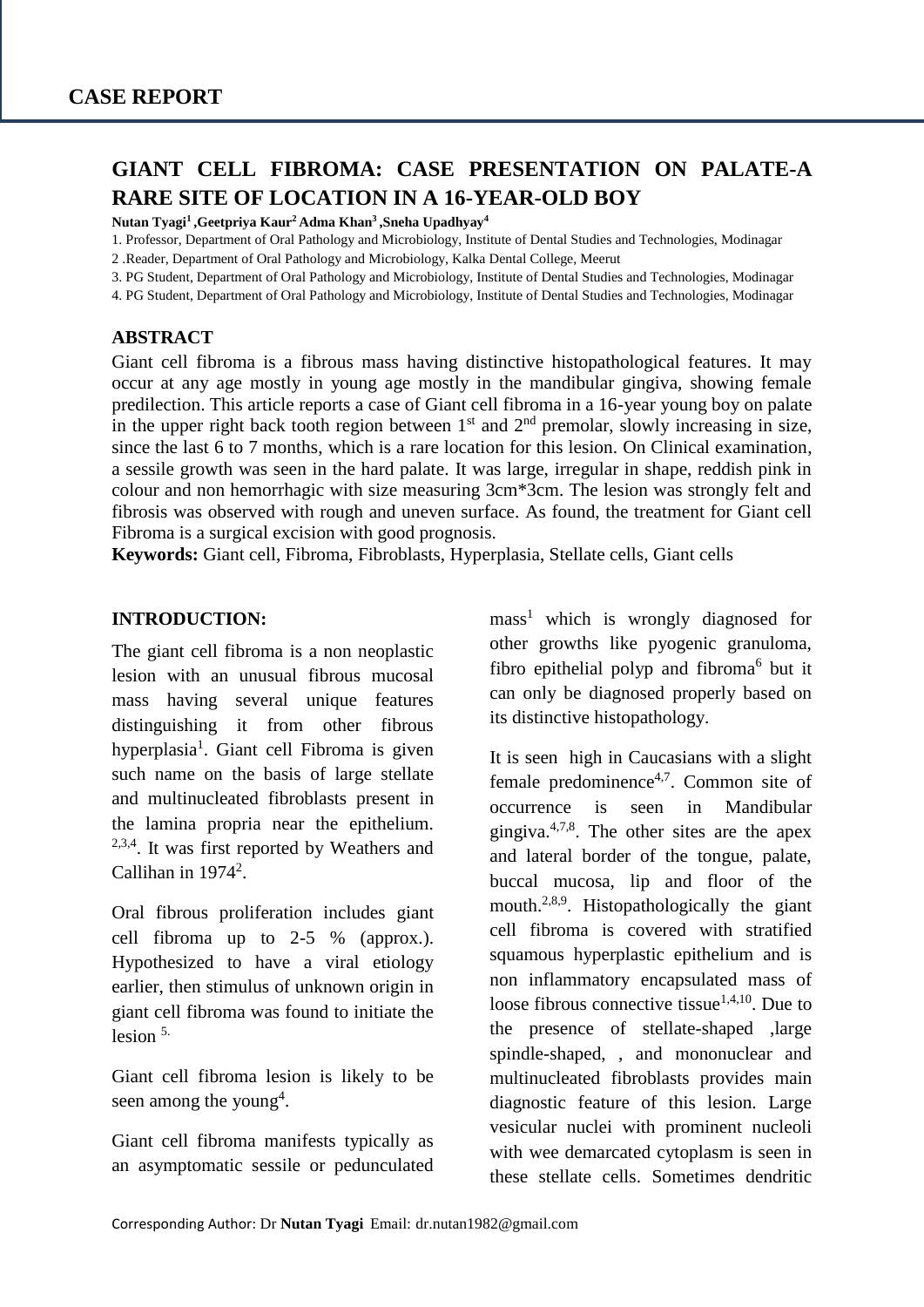# **GIANT CELL FIBROMA: CASE PRESENTATION ON PALATE-A RARE SITE OF LOCATION IN A 16-YEAR-OLD BOY**

**Nutan Tyagi<sup>1</sup> ,Geetpriya Kaur<sup>2</sup>Adma Khan<sup>3</sup> ,Sneha Upadhyay<sup>4</sup>**

1. Professor, Department of Oral Pathology and Microbiology, Institute of Dental Studies and Technologies, Modinagar

2 .Reader, Department of Oral Pathology and Microbiology, Kalka Dental College, Meerut

3. PG Student, Department of Oral Pathology and Microbiology, Institute of Dental Studies and Technologies, Modinagar

4. PG Student, Department of Oral Pathology and Microbiology, Institute of Dental Studies and Technologies, Modinagar

#### **ABSTRACT**

Giant cell fibroma is a fibrous mass having distinctive histopathological features. It may occur at any age mostly in young age mostly in the mandibular gingiva, showing female predilection. This article reports a case of Giant cell fibroma in a 16-year young boy on palate in the upper right back tooth region between  $1<sup>st</sup>$  and  $2<sup>nd</sup>$  premolar, slowly increasing in size, since the last 6 to 7 months, which is a rare location for this lesion. On Clinical examination, a sessile growth was seen in the hard palate. It was large, irregular in shape, reddish pink in colour and non hemorrhagic with size measuring 3cm\*3cm. The lesion was strongly felt and fibrosis was observed with rough and uneven surface. As found, the treatment for Giant cell Fibroma is a surgical excision with good prognosis.

**Keywords:** Giant cell, Fibroma, Fibroblasts, Hyperplasia, Stellate cells, Giant cells

#### **INTRODUCTION:**

The giant cell fibroma is a non neoplastic lesion with an unusual fibrous mucosal mass having several unique features distinguishing it from other fibrous hyperplasia<sup>1</sup>. Giant cell Fibroma is given such name on the basis of large stellate and multinucleated fibroblasts present in the lamina propria near the epithelium. <sup>2,3,4</sup>. It was first reported by Weathers and Callihan in  $1974^2$ .

Oral fibrous proliferation includes giant cell fibroma up to 2-5 % (approx.). Hypothesized to have a viral etiology earlier, then stimulus of unknown origin in giant cell fibroma was found to initiate the lesion 5.

Giant cell fibroma lesion is likely to be seen among the young<sup>4</sup>.

Giant cell fibroma manifests typically as an asymptomatic sessile or pedunculated  $mass<sup>1</sup>$  which is wrongly diagnosed for other growths like pyogenic granuloma, fibro epithelial polyp and fibroma<sup>6</sup> but it can only be diagnosed properly based on its distinctive histopathology.

It is seen high in Caucasians with a slight female predominence $4,7$ . Common site of occurrence is seen in Mandibular gingiva.<sup>4,7,8</sup>. The other sites are the apex and lateral border of the tongue, palate, buccal mucosa, lip and floor of the mouth.<sup>2,8,9</sup>. Histopathologically the giant cell fibroma is covered with stratified squamous hyperplastic epithelium and is non inflammatory encapsulated mass of loose fibrous connective tissue<sup>1,4,10</sup>. Due to the presence of stellate-shaped ,large spindle-shaped, , and mononuclear and multinucleated fibroblasts provides main diagnostic feature of this lesion. Large vesicular nuclei with prominent nucleoli with wee demarcated cytoplasm is seen in these stellate cells. Sometimes dendritic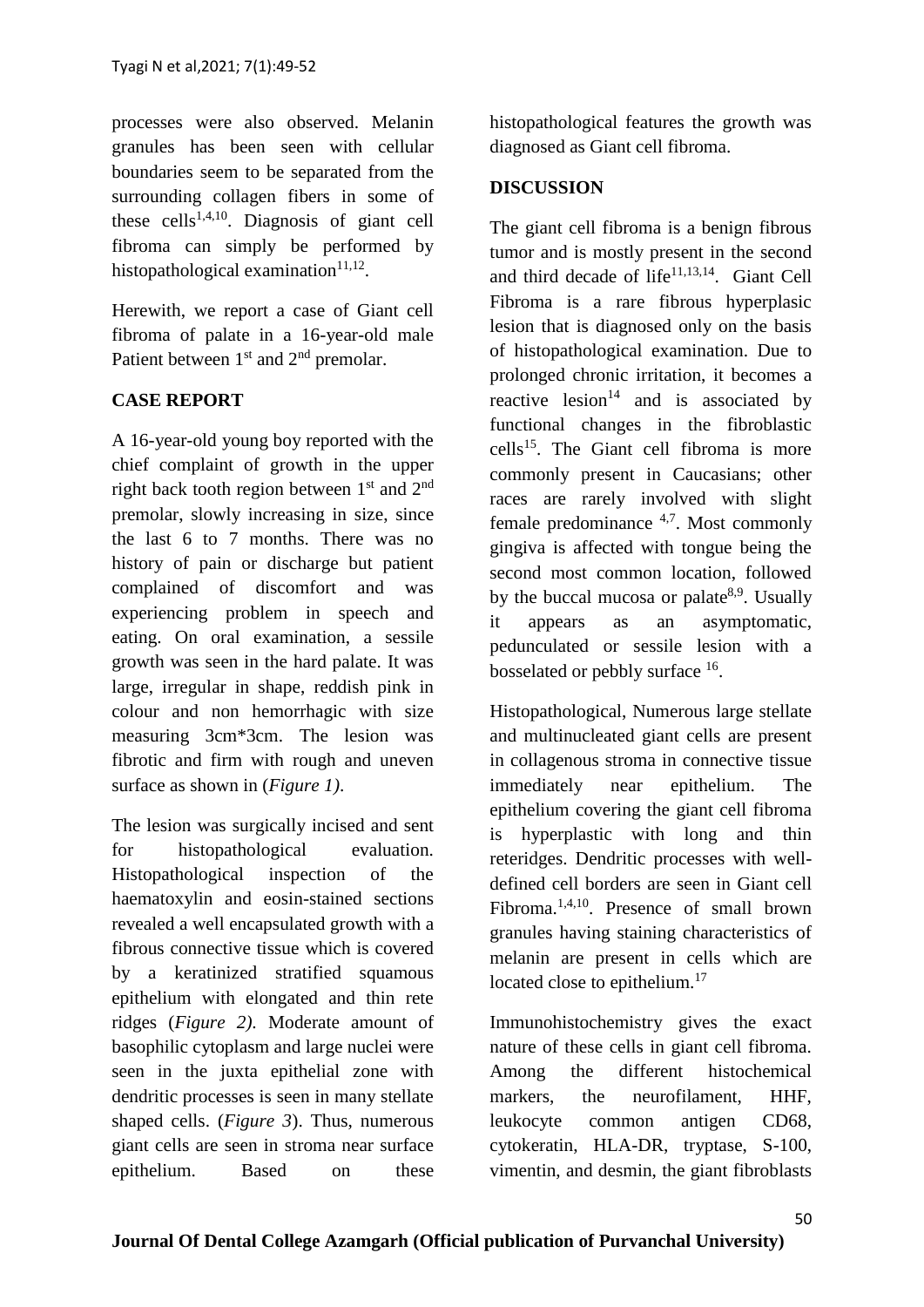processes were also observed. Melanin granules has been seen with cellular boundaries seem to be separated from the surrounding collagen fibers in some of these cells<sup>1,4,10</sup>. Diagnosis of giant cell fibroma can simply be performed by histopathological examination $11,12$ .

Herewith, we report a case of Giant cell fibroma of palate in a 16-year-old male Patient between  $1<sup>st</sup>$  and  $2<sup>nd</sup>$  premolar.

# **CASE REPORT**

A 16-year-old young boy reported with the chief complaint of growth in the upper right back tooth region between  $1<sup>st</sup>$  and  $2<sup>nd</sup>$ premolar, slowly increasing in size, since the last 6 to 7 months. There was no history of pain or discharge but patient complained of discomfort and was experiencing problem in speech and eating. On oral examination, a sessile growth was seen in the hard palate. It was large, irregular in shape, reddish pink in colour and non hemorrhagic with size measuring 3cm\*3cm. The lesion was fibrotic and firm with rough and uneven surface as shown in (*Figure 1)*.

The lesion was surgically incised and sent for histopathological evaluation. Histopathological inspection of the haematoxylin and eosin-stained sections revealed a well encapsulated growth with a fibrous connective tissue which is covered by a keratinized stratified squamous epithelium with elongated and thin rete ridges (*Figure 2).* Moderate amount of basophilic cytoplasm and large nuclei were seen in the juxta epithelial zone with dendritic processes is seen in many stellate shaped cells. (*Figure 3*). Thus, numerous giant cells are seen in stroma near surface epithelium. Based on these

histopathological features the growth was diagnosed as Giant cell fibroma.

### **DISCUSSION**

The giant cell fibroma is a benign fibrous tumor and is mostly present in the second and third decade of life $11,13,14$ . Giant Cell Fibroma is a rare fibrous hyperplasic lesion that is diagnosed only on the basis of histopathological examination. Due to prolonged chronic irritation, it becomes a reactive lesion<sup>14</sup> and is associated by functional changes in the fibroblastic  $cells<sup>15</sup>$ . The Giant cell fibroma is more commonly present in Caucasians; other races are rarely involved with slight female predominance  $4.7$ . Most commonly gingiva is affected with tongue being the second most common location, followed by the buccal mucosa or palate $8,9$ . Usually it appears as an asymptomatic, pedunculated or sessile lesion with a bosselated or pebbly surface <sup>16</sup>.

Histopathological, Numerous large stellate and multinucleated giant cells are present in collagenous stroma in connective tissue immediately near epithelium. The epithelium covering the giant cell fibroma is hyperplastic with long and thin reteridges. Dendritic processes with welldefined cell borders are seen in Giant cell Fibroma.1,4,10. Presence of small brown granules having staining characteristics of melanin are present in cells which are located close to epithelium.<sup>17</sup>

Immunohistochemistry gives the exact nature of these cells in giant cell fibroma. Among the different histochemical markers, the neurofilament, HHF, leukocyte common antigen CD68, cytokeratin, HLA-DR, tryptase, S-100, vimentin, and desmin, the giant fibroblasts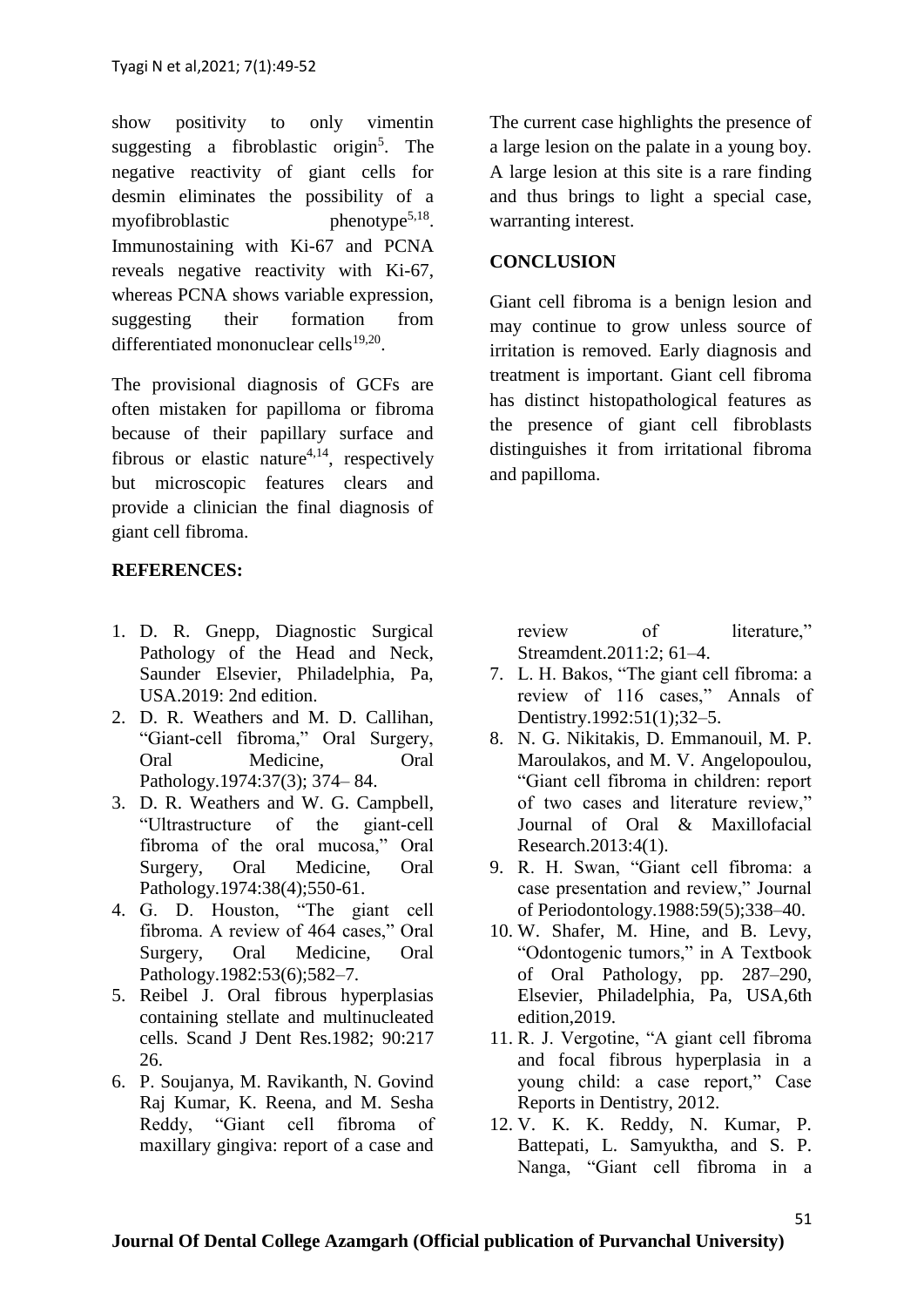show positivity to only vimentin suggesting a fibroblastic origin<sup>5</sup>. The negative reactivity of giant cells for desmin eliminates the possibility of a myofibroblastic phenotype<sup>5,18</sup>. Immunostaining with Ki-67 and PCNA reveals negative reactivity with Ki-67, whereas PCNA shows variable expression, suggesting their formation from differentiated mononuclear cells<sup>19,20</sup>.

The provisional diagnosis of GCFs are often mistaken for papilloma or fibroma because of their papillary surface and fibrous or elastic nature<sup>4,14</sup>, respectively but microscopic features clears and provide a clinician the final diagnosis of giant cell fibroma.

### **REFERENCES:**

- 1. D. R. Gnepp, Diagnostic Surgical Pathology of the Head and Neck, Saunder Elsevier, Philadelphia, Pa, USA.2019: 2nd edition.
- 2. D. R. Weathers and M. D. Callihan, "Giant-cell fibroma," Oral Surgery, Oral Medicine, Oral Pathology.1974:37(3); 374– 84.
- 3. D. R. Weathers and W. G. Campbell, "Ultrastructure of the giant-cell fibroma of the oral mucosa," Oral Surgery, Oral Medicine, Oral Pathology.1974:38(4);550-61.
- 4. G. D. Houston, "The giant cell fibroma. A review of 464 cases," Oral Surgery, Oral Medicine, Oral Pathology.1982:53(6);582–7.
- 5. Reibel J. Oral fibrous hyperplasias containing stellate and multinucleated cells. Scand J Dent Res.1982; 90:217 26.
- 6. P. Soujanya, M. Ravikanth, N. Govind Raj Kumar, K. Reena, and M. Sesha Reddy, "Giant cell fibroma of maxillary gingiva: report of a case and

The current case highlights the presence of a large lesion on the palate in a young boy. A large lesion at this site is a rare finding and thus brings to light a special case, warranting interest.

### **CONCLUSION**

Giant cell fibroma is a benign lesion and may continue to grow unless source of irritation is removed. Early diagnosis and treatment is important. Giant cell fibroma has distinct histopathological features as the presence of giant cell fibroblasts distinguishes it from irritational fibroma and papilloma.

review of literature," Streamdent.2011:2; 61–4.

- 7. L. H. Bakos, "The giant cell fibroma: a review of 116 cases," Annals of Dentistry.1992:51(1);32–5.
- 8. N. G. Nikitakis, D. Emmanouil, M. P. Maroulakos, and M. V. Angelopoulou, "Giant cell fibroma in children: report of two cases and literature review," Journal of Oral & Maxillofacial Research.2013:4(1).
- 9. R. H. Swan, "Giant cell fibroma: a case presentation and review," Journal of Periodontology.1988:59(5);338–40.
- 10. W. Shafer, M. Hine, and B. Levy, "Odontogenic tumors," in A Textbook of Oral Pathology, pp. 287–290, Elsevier, Philadelphia, Pa, USA,6th edition,2019.
- 11. R. J. Vergotine, "A giant cell fibroma and focal fibrous hyperplasia in a young child: a case report," Case Reports in Dentistry, 2012.
- 12. V. K. K. Reddy, N. Kumar, P. Battepati, L. Samyuktha, and S. P. Nanga, "Giant cell fibroma in a